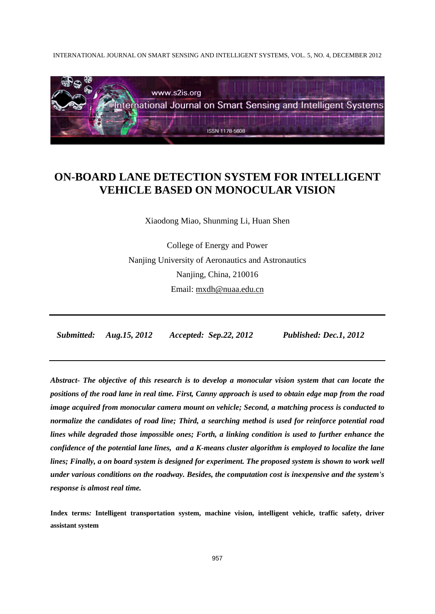INTERNATIONAL JOURNAL ON SMART SENSING AND INTELLIGENT SYSTEMS, VOL. 5, NO. 4, DECEMBER 2012



# **ON-BOARD LANE DETECTION SYSTEM FOR INTELLIGENT VEHICLE BASED ON MONOCULAR VISION**

Xiaodong Miao, Shunming Li, Huan Shen

College of Energy and Power Nanjing University of Aeronautics and Astronautics Nanjing, China, 210016 Email: mxdh@nuaa.edu.cn

 *Submitted: Aug.15, 2012 Accepted: Sep.22, 2012 Published: Dec.1, 2012* 

*Abstract- The objective of this research is to develop a monocular vision system that can locate the positions of the road lane in real time. First, Canny approach is used to obtain edge map from the road image acquired from monocular camera mount on vehicle; Second, a matching process is conducted to normalize the candidates of road line; Third, a searching method is used for reinforce potential road lines while degraded those impossible ones; Forth, a linking condition is used to further enhance the confidence of the potential lane lines, and a K-means cluster algorithm is employed to localize the lane lines; Finally, a on board system is designed for experiment. The proposed system is shown to work well under various conditions on the roadway. Besides, the computation cost is inexpensive and the system's response is almost real time.* 

**Index terms***:* **Intelligent transportation system, machine vision, intelligent vehicle, traffic safety, driver assistant system**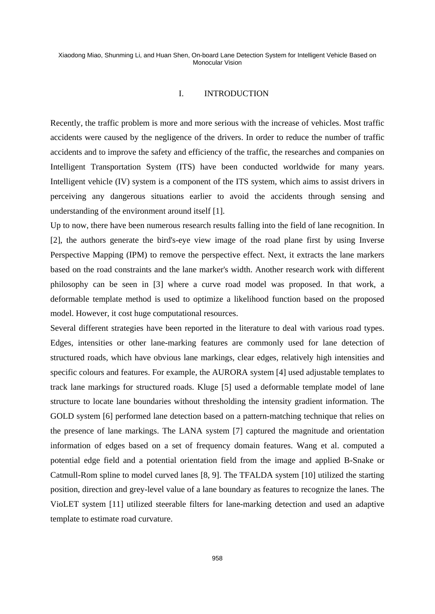## I. INTRODUCTION

Recently, the traffic problem is more and more serious with the increase of vehicles. Most traffic accidents were caused by the negligence of the drivers. In order to reduce the number of traffic accidents and to improve the safety and efficiency of the traffic, the researches and companies on Intelligent Transportation System (ITS) have been conducted worldwide for many years. Intelligent vehicle (IV) system is a component of the ITS system, which aims to assist drivers in perceiving any dangerous situations earlier to avoid the accidents through sensing and understanding of the environment around itself [1].

Up to now, there have been numerous research results falling into the field of lane recognition. In [2], the authors generate the bird's-eye view image of the road plane first by using Inverse Perspective Mapping (IPM) to remove the perspective effect. Next, it extracts the lane markers based on the road constraints and the lane marker's width. Another research work with different philosophy can be seen in [3] where a curve road model was proposed. In that work, a deformable template method is used to optimize a likelihood function based on the proposed model. However, it cost huge computational resources.

Several different strategies have been reported in the literature to deal with various road types. Edges, intensities or other lane-marking features are commonly used for lane detection of structured roads, which have obvious lane markings, clear edges, relatively high intensities and specific colours and features. For example, the AURORA system [4] used adjustable templates to track lane markings for structured roads. Kluge [5] used a deformable template model of lane structure to locate lane boundaries without thresholding the intensity gradient information. The GOLD system [6] performed lane detection based on a pattern-matching technique that relies on the presence of lane markings. The LANA system [7] captured the magnitude and orientation information of edges based on a set of frequency domain features. Wang et al. computed a potential edge field and a potential orientation field from the image and applied B-Snake or Catmull-Rom spline to model curved lanes [8, 9]. The TFALDA system [10] utilized the starting position, direction and grey-level value of a lane boundary as features to recognize the lanes. The VioLET system [11] utilized steerable filters for lane-marking detection and used an adaptive template to estimate road curvature.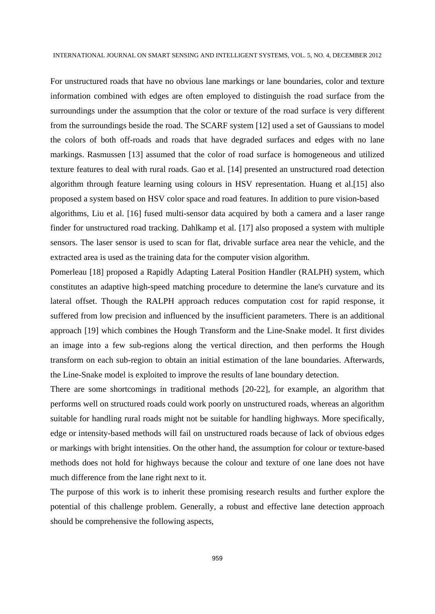For unstructured roads that have no obvious lane markings or lane boundaries, color and texture information combined with edges are often employed to distinguish the road surface from the surroundings under the assumption that the color or texture of the road surface is very different from the surroundings beside the road. The SCARF system [12] used a set of Gaussians to model the colors of both off-roads and roads that have degraded surfaces and edges with no lane markings. Rasmussen [13] assumed that the color of road surface is homogeneous and utilized texture features to deal with rural roads. Gao et al. [14] presented an unstructured road detection algorithm through feature learning using colours in HSV representation. Huang et al.[15] also proposed a system based on HSV color space and road features. In addition to pure vision-based algorithms, Liu et al. [16] fused multi-sensor data acquired by both a camera and a laser range finder for unstructured road tracking. Dahlkamp et al. [17] also proposed a system with multiple sensors. The laser sensor is used to scan for flat, drivable surface area near the vehicle, and the extracted area is used as the training data for the computer vision algorithm.

Pomerleau [18] proposed a Rapidly Adapting Lateral Position Handler (RALPH) system, which constitutes an adaptive high-speed matching procedure to determine the lane's curvature and its lateral offset. Though the RALPH approach reduces computation cost for rapid response, it suffered from low precision and influenced by the insufficient parameters. There is an additional approach [19] which combines the Hough Transform and the Line-Snake model. It first divides an image into a few sub-regions along the vertical direction, and then performs the Hough transform on each sub-region to obtain an initial estimation of the lane boundaries. Afterwards, the Line-Snake model is exploited to improve the results of lane boundary detection.

There are some shortcomings in traditional methods [20-22], for example, an algorithm that performs well on structured roads could work poorly on unstructured roads, whereas an algorithm suitable for handling rural roads might not be suitable for handling highways. More specifically, edge or intensity-based methods will fail on unstructured roads because of lack of obvious edges or markings with bright intensities. On the other hand, the assumption for colour or texture-based methods does not hold for highways because the colour and texture of one lane does not have much difference from the lane right next to it.

The purpose of this work is to inherit these promising research results and further explore the potential of this challenge problem. Generally, a robust and effective lane detection approach should be comprehensive the following aspects,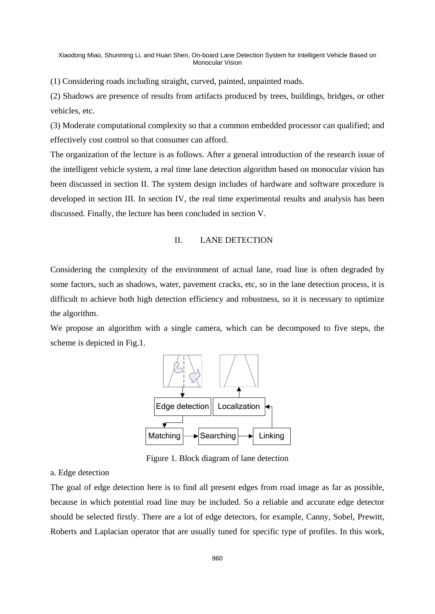(1) Considering roads including straight, curved, painted, unpainted roads.

(2) Shadows are presence of results from artifacts produced by trees, buildings, bridges, or other vehicles, etc.

(3) Moderate computational complexity so that a common embedded processor can qualified; and effectively cost control so that consumer can afford.

The organization of the lecture is as follows. After a general introduction of the research issue of the intelligent vehicle system, a real time lane detection algorithm based on monocular vision has been discussed in section II. The system design includes of hardware and software procedure is developed in section III. In section IV, the real time experimental results and analysis has been discussed. Finally, the lecture has been concluded in section V.

## II. LANE DETECTION

Considering the complexity of the environment of actual lane, road line is often degraded by some factors, such as shadows, water, pavement cracks, etc, so in the lane detection process, it is difficult to achieve both high detection efficiency and robustness, so it is necessary to optimize the algorithm.

We propose an algorithm with a single camera, which can be decomposed to five steps, the scheme is depicted in Fig.1.



Figure 1. Block diagram of lane detection

## a. Edge detection

The goal of edge detection here is to find all present edges from road image as far as possible, because in which potential road line may be included. So a reliable and accurate edge detector should be selected firstly. There are a lot of edge detectors, for example, Canny, Sobel, Prewitt, Roberts and Laplacian operator that are usually tuned for specific type of profiles. In this work,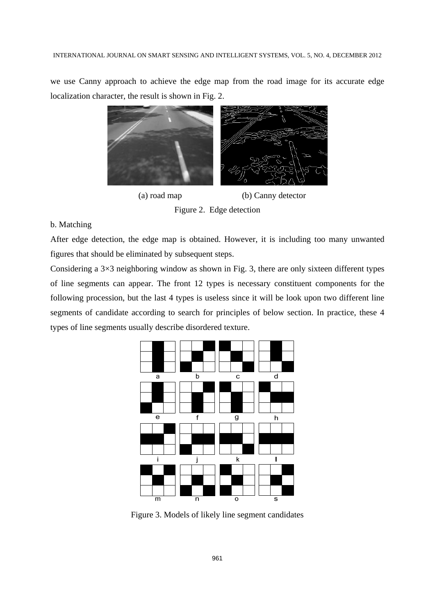we use Canny approach to achieve the edge map from the road image for its accurate edge localization character, the result is shown in Fig. 2.



(a) road map (b) Canny detector

Figure 2. Edge detection

## b. Matching

After edge detection, the edge map is obtained. However, it is including too many unwanted figures that should be eliminated by subsequent steps.

Considering a 3×3 neighboring window as shown in Fig. 3, there are only sixteen different types of line segments can appear. The front 12 types is necessary constituent components for the following procession, but the last 4 types is useless since it will be look upon two different line segments of candidate according to search for principles of below section. In practice, these 4 types of line segments usually describe disordered texture.



Figure 3. Models of likely line segment candidates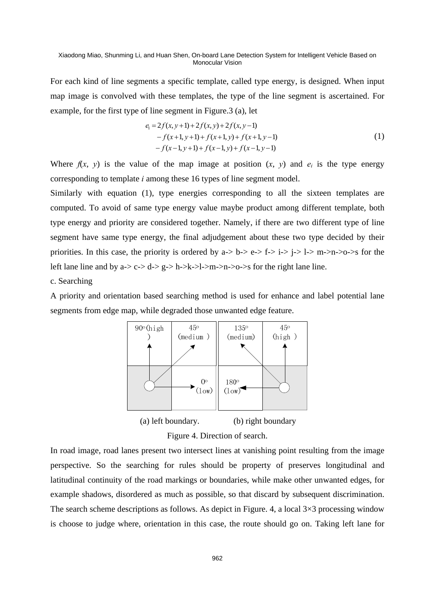For each kind of line segments a specific template, called type energy, is designed. When input map image is convolved with these templates, the type of the line segment is ascertained. For example, for the first type of line segment in Figure.3 (a), let

$$
e_1 = 2f(x, y+1) + 2f(x, y) + 2f(x, y-1)
$$
  
-  $f(x+1, y+1) + f(x+1, y) + f(x+1, y-1)$   
-  $f(x-1, y+1) + f(x-1, y) + f(x-1, y-1)$  (1)

Where  $f(x, y)$  is the value of the map image at position  $(x, y)$  and  $e_i$  is the type energy corresponding to template *i* among these 16 types of line segment model.

Similarly with equation (1), type energies corresponding to all the sixteen templates are computed. To avoid of same type energy value maybe product among different template, both type energy and priority are considered together. Namely, if there are two different type of line segment have same type energy, the final adjudgement about these two type decided by their priorities. In this case, the priority is ordered by  $a \rightarrow b \rightarrow e \rightarrow f \rightarrow i \rightarrow l \rightarrow m \rightarrow n \rightarrow o \rightarrow s$  for the left lane line and by  $a \rightarrow c \rightarrow d \rightarrow g \rightarrow h \rightarrow k \rightarrow l \rightarrow m \rightarrow n \rightarrow o \rightarrow s$  for the right lane line.

c. Searching

A priority and orientation based searching method is used for enhance and label potential lane segments from edge map, while degraded those unwanted edge feature.



Figure 4. Direction of search.

In road image, road lanes present two intersect lines at vanishing point resulting from the image perspective. So the searching for rules should be property of preserves longitudinal and latitudinal continuity of the road markings or boundaries, while make other unwanted edges, for example shadows, disordered as much as possible, so that discard by subsequent discrimination. The search scheme descriptions as follows. As depict in Figure. 4, a local  $3\times3$  processing window is choose to judge where, orientation in this case, the route should go on. Taking left lane for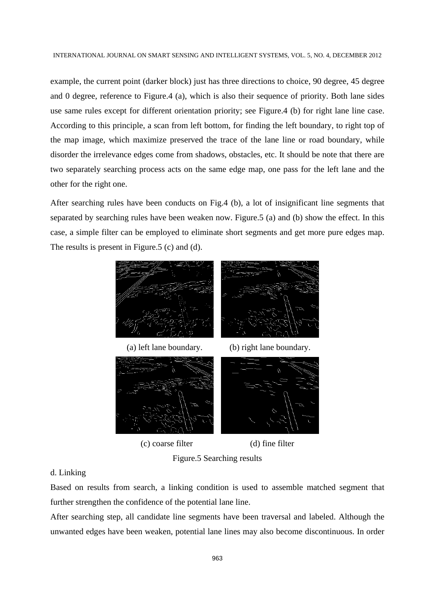example, the current point (darker block) just has three directions to choice, 90 degree, 45 degree and 0 degree, reference to Figure.4 (a), which is also their sequence of priority. Both lane sides use same rules except for different orientation priority; see Figure.4 (b) for right lane line case. According to this principle, a scan from left bottom, for finding the left boundary, to right top of the map image, which maximize preserved the trace of the lane line or road boundary, while disorder the irrelevance edges come from shadows, obstacles, etc. It should be note that there are two separately searching process acts on the same edge map, one pass for the left lane and the other for the right one.

After searching rules have been conducts on Fig.4 (b), a lot of insignificant line segments that separated by searching rules have been weaken now. Figure.5 (a) and (b) show the effect. In this case, a simple filter can be employed to eliminate short segments and get more pure edges map. The results is present in Figure.5 (c) and (d).







(c) coarse filter (d) fine filter

Figure.5 Searching results

## d. Linking

Based on results from search, a linking condition is used to assemble matched segment that further strengthen the confidence of the potential lane line.

After searching step, all candidate line segments have been traversal and labeled. Although the unwanted edges have been weaken, potential lane lines may also become discontinuous. In order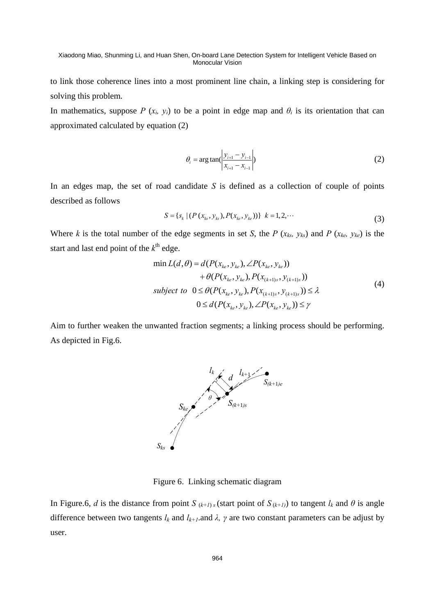to link those coherence lines into a most prominent line chain, a linking step is considering for solving this problem.

In mathematics, suppose *P* ( $x_i$ ,  $y_i$ ) to be a point in edge map and  $\theta_i$  is its orientation that can approximated calculated by equation (2)

$$
\theta_i = \arg \tan \left( \frac{y_{i+1} - y_{i-1}}{x_{i+1} - x_{i-1}} \right)
$$
 (2)

In an edges map, the set of road candidate *S* is defined as a collection of couple of points described as follows

$$
S = \{s_k \mid (P(x_{ks}, y_{ks}), P(x_{ke}, y_{ke}))\} \quad k = 1, 2, \cdots
$$
 (3)

Where *k* is the total number of the edge segments in set *S*, the *P* ( $x_{ks}$ ,  $y_{ks}$ ) and *P* ( $x_{ke}$ ,  $y_{ke}$ ) is the start and last end point of the  $k^{\text{th}}$  edge.

$$
\min L(d, \theta) = d(P(x_{ke}, y_{ke}), \angle P(x_{ke}, y_{ke})) + \theta(P(x_{ke}, y_{ke}), P(x_{(k+1)s}, y_{(k+1)s})) subject to \ 0 \le \theta(P(x_{ke}, y_{ke}), P(x_{(k+1)s}, y_{(k+1)s})) \le \lambda 0 \le d(P(x_{ke}, y_{ke}), \angle P(x_{ke}, y_{ke})) \le \gamma
$$
\n(4)

Aim to further weaken the unwanted fraction segments; a linking process should be performing. As depicted in Fig.6.



Figure 6. Linking schematic diagram

In Figure.6, *d* is the distance from point *S*  $_{(k+1)s}$  (start point of  $S_{(k+1)}$ ) to tangent  $l_k$  and  $\theta$  is angle difference between two tangents  $l_k$  and  $l_{k+1}$ .and  $\lambda$ ,  $\gamma$  are two constant parameters can be adjust by user.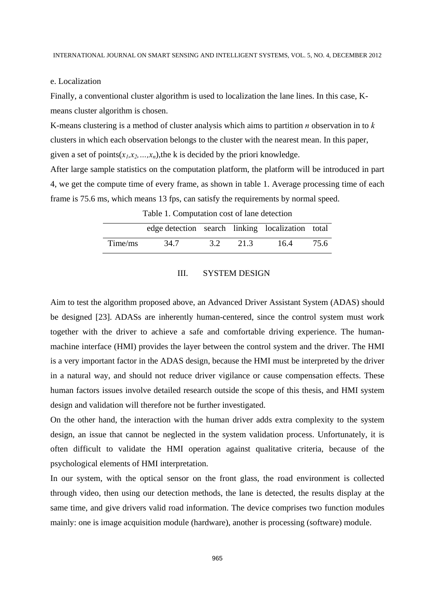#### e. Localization

Finally, a conventional cluster algorithm is used to localization the lane lines. In this case, Kmeans cluster algorithm is chosen.

K-means clustering is a method of cluster analysis which aims to partition *n* observation in to *k* clusters in which each observation belongs to the cluster with the nearest mean. In this paper, given a set of points( $x_1, x_2, ..., x_n$ ), the k is decided by the priori knowledge.

After large sample statistics on the computation platform, the platform will be introduced in part 4, we get the compute time of every frame, as shown in table 1. Average processing time of each frame is 75.6 ms, which means 13 fps, can satisfy the requirements by normal speed.

|         | edge detection search linking localization total |     |      |      |      |
|---------|--------------------------------------------------|-----|------|------|------|
| Time/ms | 34.7                                             | 3.2 | 21.3 | 16.4 | 75.6 |

Table 1. Computation cost of lane detection

## III. SYSTEM DESIGN

Aim to test the algorithm proposed above, an Advanced Driver Assistant System (ADAS) should be designed [23]. ADASs are inherently human-centered, since the control system must work together with the driver to achieve a safe and comfortable driving experience. The humanmachine interface (HMI) provides the layer between the control system and the driver. The HMI is a very important factor in the ADAS design, because the HMI must be interpreted by the driver in a natural way, and should not reduce driver vigilance or cause compensation effects. These human factors issues involve detailed research outside the scope of this thesis, and HMI system design and validation will therefore not be further investigated.

On the other hand, the interaction with the human driver adds extra complexity to the system design, an issue that cannot be neglected in the system validation process. Unfortunately, it is often difficult to validate the HMI operation against qualitative criteria, because of the psychological elements of HMI interpretation.

In our system, with the optical sensor on the front glass, the road environment is collected through video, then using our detection methods, the lane is detected, the results display at the same time, and give drivers valid road information. The device comprises two function modules mainly: one is image acquisition module (hardware), another is processing (software) module.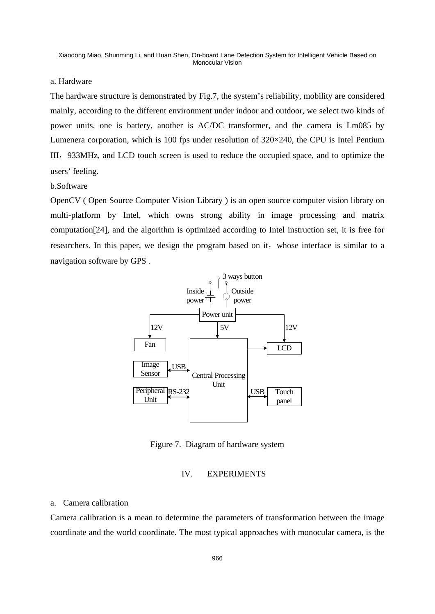#### a. Hardware

The hardware structure is demonstrated by Fig.7, the system's reliability, mobility are considered mainly, according to the different environment under indoor and outdoor, we select two kinds of power units, one is battery, another is AC/DC transformer, and the camera is Lm085 by Lumenera corporation, which is 100 fps under resolution of 320×240, the CPU is Intel Pentium III,933MHz, and LCD touch screen is used to reduce the occupied space, and to optimize the users' feeling.

#### b.Software

OpenCV ( Open Source Computer Vision Library ) is an open source computer vision library on multi-platform by Intel, which owns strong ability in image processing and matrix computation[24], and the algorithm is optimized according to Intel instruction set, it is free for researchers. In this paper, we design the program based on it, whose interface is similar to a navigation software by GPS .



Figure 7. Diagram of hardware system

#### IV. EXPERIMENTS

## a. Camera calibration

Camera calibration is a mean to determine the parameters of transformation between the image coordinate and the world coordinate. The most typical approaches with monocular camera, is the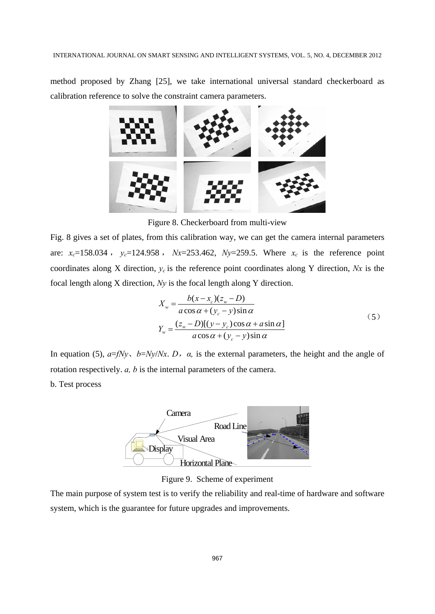method proposed by Zhang [25], we take international universal standard checkerboard as calibration reference to solve the constraint camera parameters.



Figure 8. Checkerboard from multi-view

Fig. 8 gives a set of plates, from this calibration way, we can get the camera internal parameters are:  $x_c = 158.034$ ,  $y_c = 124.958$ ,  $Nx = 253.462$ ,  $Ny = 259.5$ . Where  $x_c$  is the reference point coordinates along X direction, *yc* is the reference point coordinates along Y direction, *Nx* is the focal length along X direction, *Ny* is the focal length along Y direction.

$$
X_w = \frac{b(x - x_c)(z_w - D)}{a \cos \alpha + (y_c - y)\sin \alpha}
$$
  
\n
$$
Y_w = \frac{(z_w - D)[(y - y_c)\cos \alpha + a \sin \alpha]}{a \cos \alpha + (y_c - y)\sin \alpha}
$$
 (5)

In equation (5),  $a=fNy$ ,  $b=Ny/Nx$ . *D*,  $\alpha$ , is the external parameters, the height and the angle of rotation respectively. *a, b* is the internal parameters of the camera. b. Test process



Figure 9. Scheme of experiment

The main purpose of system test is to verify the reliability and real-time of hardware and software system, which is the guarantee for future upgrades and improvements.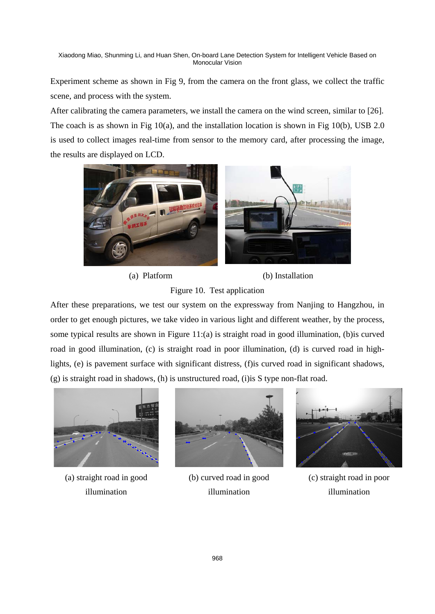Experiment scheme as shown in Fig 9, from the camera on the front glass, we collect the traffic scene, and process with the system.

After calibrating the camera parameters, we install the camera on the wind screen, similar to [26]. The coach is as shown in Fig 10(a), and the installation location is shown in Fig 10(b), USB 2.0 is used to collect images real-time from sensor to the memory card, after processing the image, the results are displayed on LCD.



(a) Platform (b) Installation

## Figure 10. Test application

After these preparations, we test our system on the expressway from Nanjing to Hangzhou, in order to get enough pictures, we take video in various light and different weather, by the process, some typical results are shown in Figure 11:(a) is straight road in good illumination, (b)is curved road in good illumination, (c) is straight road in poor illumination, (d) is curved road in highlights, (e) is pavement surface with significant distress, (f)is curved road in significant shadows, (g) is straight road in shadows, (h) is unstructured road, (i)is S type non-flat road.



(a) straight road in good illumination



(b) curved road in good illumination



(c) straight road in poor illumination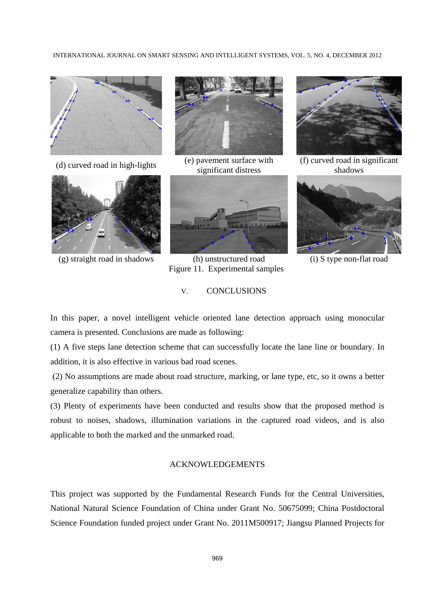INTERNATIONAL JOURNAL ON SMART SENSING AND INTELLIGENT SYSTEMS, VOL. 5, NO. 4, DECEMBER 2012







(d) curved road in high-lights  $\qquad (e)$  pavement surface with significant distress



(g) straight road in shadows (h) unstructured road (i) S type non-flat road Figure 11. Experimental samples

## V. CONCLUSIONS



(f) curved road in significant shadows



In this paper, a novel intelligent vehicle oriented lane detection approach using monocular camera is presented. Conclusions are made as following:

(1) A five steps lane detection scheme that can successfully locate the lane line or boundary. In addition, it is also effective in various bad road scenes.

 (2) No assumptions are made about road structure, marking, or lane type, etc, so it owns a better generalize capability than others.

(3) Plenty of experiments have been conducted and results show that the proposed method is robust to noises, shadows, illumination variations in the captured road videos, and is also applicable to both the marked and the unmarked road.

## ACKNOWLEDGEMENTS

This project was supported by the Fundamental Research Funds for the Central Universities, National Natural Science Foundation of China under Grant No. 50675099; China Postdoctoral Science Foundation funded project under Grant No. 2011M500917; Jiangsu Planned Projects for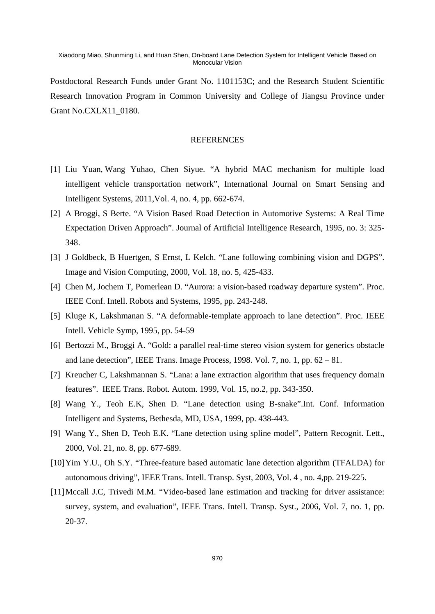Postdoctoral Research Funds under Grant No. 1101153C; and the Research Student Scientific Research Innovation Program in Common University and College of Jiangsu Province under Grant No.CXLX11\_0180.

## **REFERENCES**

- [1] Liu Yuan, Wang Yuhao, Chen Siyue. "A hybrid MAC mechanism for multiple load intelligent vehicle transportation network", International Journal on Smart Sensing and Intelligent Systems, 2011,Vol. 4, no. 4, pp. 662-674.
- [2] A Broggi, S Berte. "A Vision Based Road Detection in Automotive Systems: A Real Time Expectation Driven Approach". Journal of Artificial Intelligence Research, 1995, no. 3: 325- 348.
- [3] J Goldbeck, B Huertgen, S Ernst, L Kelch. "Lane following combining vision and DGPS". Image and Vision Computing, 2000, Vol. 18, no. 5, 425-433.
- [4] Chen M, Jochem T, Pomerlean D. "Aurora: a vision-based roadway departure system". Proc. IEEE Conf. Intell. Robots and Systems, 1995, pp. 243-248.
- [5] Kluge K, Lakshmanan S. "A deformable-template approach to lane detection". Proc. IEEE Intell. Vehicle Symp, 1995, pp. 54-59
- [6] Bertozzi M., Broggi A. "Gold: a parallel real-time stereo vision system for generics obstacle and lane detection", IEEE Trans. Image Process, 1998. Vol. 7, no. 1, pp.  $62 - 81$ .
- [7] Kreucher C, Lakshmannan S. "Lana: a lane extraction algorithm that uses frequency domain features". IEEE Trans. Robot. Autom. 1999, Vol. 15, no.2, pp. 343-350.
- [8] Wang Y., Teoh E.K, Shen D. "Lane detection using B-snake".Int. Conf. Information Intelligent and Systems, Bethesda, MD, USA, 1999, pp. 438-443.
- [9] Wang Y., Shen D, Teoh E.K. "Lane detection using spline model", Pattern Recognit. Lett., 2000, Vol. 21, no. 8, pp. 677-689.
- [10]Yim Y.U., Oh S.Y. "Three-feature based automatic lane detection algorithm (TFALDA) for autonomous driving", IEEE Trans. Intell. Transp. Syst, 2003, Vol. 4 , no. 4,pp. 219-225.
- [11]Mccall J.C, Trivedi M.M. "Video-based lane estimation and tracking for driver assistance: survey, system, and evaluation", IEEE Trans. Intell. Transp. Syst., 2006, Vol. 7, no. 1, pp. 20-37.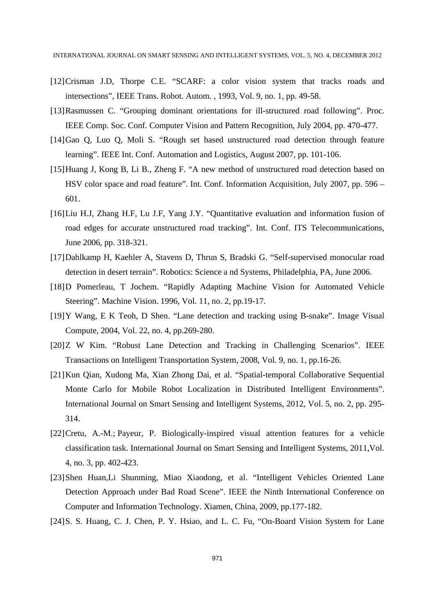- [12]Crisman J.D, Thorpe C.E. "SCARF: a color vision system that tracks roads and intersections", IEEE Trans. Robot. Autom. , 1993, Vol. 9, no. 1, pp. 49-58.
- [13]Rasmussen C. "Grouping dominant orientations for ill-structured road following". Proc. IEEE Comp. Soc. Conf. Computer Vision and Pattern Recognition, July 2004, pp. 470-477.
- [14]Gao Q, Luo Q, Moli S. "Rough set based unstructured road detection through feature learning". IEEE Int. Conf. Automation and Logistics, August 2007, pp. 101-106.
- [15]Huang J, Kong B, Li B., Zheng F. "A new method of unstructured road detection based on HSV color space and road feature". Int. Conf. Information Acquisition, July 2007, pp. 596 – 601.
- [16]Liu H.J, Zhang H.F, Lu J.F, Yang J.Y. "Quantitative evaluation and information fusion of road edges for accurate unstructured road tracking". Int. Conf. ITS Telecommunications, June 2006, pp. 318-321.
- [17]Dahlkamp H, Kaehler A, Stavens D, Thrun S, Bradski G. "Self-supervised monocular road detection in desert terrain". Robotics: Science a nd Systems, Philadelphia, PA, June 2006.
- [18]D Pomerleau, T Jochem. "Rapidly Adapting Machine Vision for Automated Vehicle Steering". Machine Vision. 1996, Vol. 11, no. 2, pp.19-17.
- [19]Y Wang, E K Teoh, D Shen. "Lane detection and tracking using B-snake". Image Visual Compute, 2004, Vol. 22, no. 4, pp.269-280.
- [20]Z W Kim. "Robust Lane Detection and Tracking in Challenging Scenarios". IEEE Transactions on Intelligent Transportation System, 2008, Vol. 9, no. 1, pp.16-26.
- [21]Kun Qian, Xudong Ma, Xian Zhong Dai, et al. "Spatial-temporal Collaborative Sequential Monte Carlo for Mobile Robot Localization in Distributed Intelligent Environments". International Journal on Smart Sensing and Intelligent Systems, 2012, Vol. 5, no. 2, pp. 295- 314.
- [22]Cretu, A.-M.; Payeur, P. Biologically-inspired visual attention features for a vehicle classification task. International Journal on Smart Sensing and Intelligent Systems, 2011,Vol. 4, no. 3, pp. 402-423.
- [23]Shen Huan,Li Shunming, Miao Xiaodong, et al. "Intelligent Vehicles Oriented Lane Detection Approach under Bad Road Scene". IEEE the Ninth International Conference on Computer and Information Technology. Xiamen, China, 2009, pp.177-182.
- [24] S. S. Huang, C. J. Chen, P. Y. Hsiao, and L. C. Fu, "On-Board Vision System for Lane